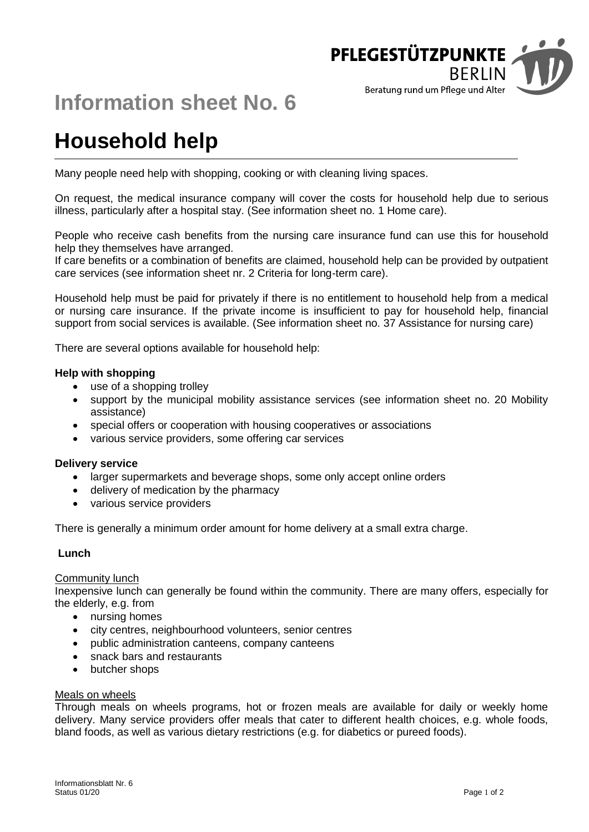

# **Information sheet No. 6**

# **Household help**

Many people need help with shopping, cooking or with cleaning living spaces.

On request, the medical insurance company will cover the costs for household help due to serious illness, particularly after a hospital stay. (See information sheet no. 1 Home care).

People who receive cash benefits from the nursing care insurance fund can use this for household help they themselves have arranged.

If care benefits or a combination of benefits are claimed, household help can be provided by outpatient care services (see information sheet nr. 2 Criteria for long-term care).

Household help must be paid for privately if there is no entitlement to household help from a medical or nursing care insurance. If the private income is insufficient to pay for household help, financial support from social services is available. (See information sheet no. 37 Assistance for nursing care)

There are several options available for household help:

#### **Help with shopping**

- use of a shopping trolley
- support by the municipal mobility assistance services (see information sheet no. 20 Mobility assistance)
- special offers or cooperation with housing cooperatives or associations
- various service providers, some offering car services

#### **Delivery service**

- larger supermarkets and beverage shops, some only accept online orders
- delivery of medication by the pharmacy
- various service providers

There is generally a minimum order amount for home delivery at a small extra charge.

#### **Lunch**

#### Community lunch

Inexpensive lunch can generally be found within the community. There are many offers, especially for the elderly, e.g. from

- nursing homes
- city centres, neighbourhood volunteers, senior centres
- public administration canteens, company canteens
- snack bars and restaurants
- butcher shops

#### Meals on wheels

Through meals on wheels programs, hot or frozen meals are available for daily or weekly home delivery. Many service providers offer meals that cater to different health choices, e.g. whole foods, bland foods, as well as various dietary restrictions (e.g. for diabetics or pureed foods).